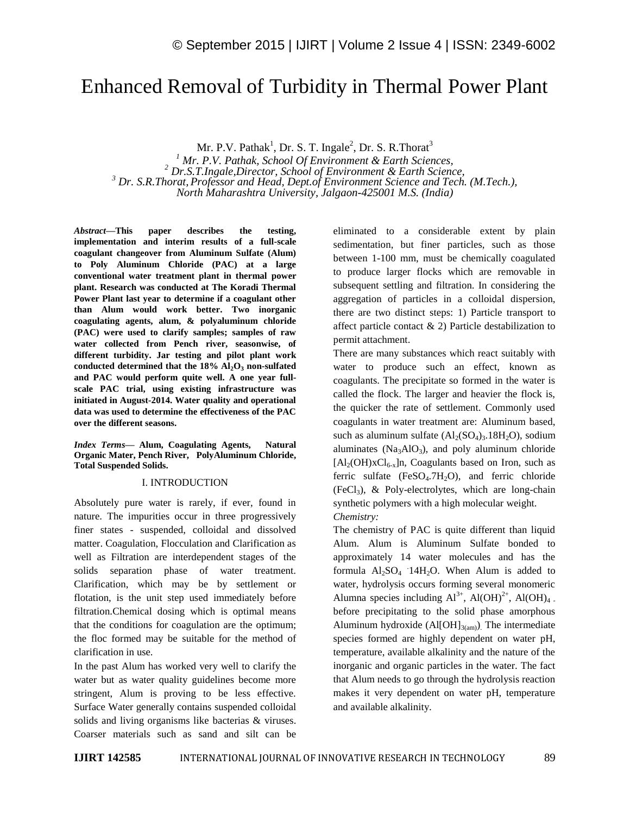# Enhanced Removal of Turbidity in Thermal Power Plant

Mr. P.V. Pathak<sup>1</sup>, Dr. S. T. Ingale<sup>2</sup>, Dr. S. R. Thorat<sup>3</sup>

 *Mr. P.V. Pathak, School Of Environment & Earth Sciences, Dr.S.T.Ingale,Director, School of Environment & Earth Science, Dr. S.R.Thorat, Professor and Head, Dept.of Environment Science and Tech. (M.Tech.), North Maharashtra University, Jalgaon-425001 M.S. (India)*

*Abstract—***This paper describes the testing, implementation and interim results of a full-scale coagulant changeover from Aluminum Sulfate (Alum) to Poly Aluminum Chloride (PAC) at a large conventional water treatment plant in thermal power plant. Research was conducted at The Koradi Thermal Power Plant last year to determine if a coagulant other than Alum would work better. Two inorganic coagulating agents, alum, & polyaluminum chloride (PAC) were used to clarify samples; samples of raw water collected from Pench river, seasonwise, of different turbidity. Jar testing and pilot plant work conducted determined that the 18% Al2O<sup>3</sup> non-sulfated and PAC would perform quite well. A one year fullscale PAC trial, using existing infrastructure was initiated in August-2014. Water quality and operational data was used to determine the effectiveness of the PAC over the different seasons.**

*Index Terms—* **Alum, Coagulating Agents, Natural Organic Mater, Pench River, PolyAluminum Chloride, Total Suspended Solids.**

#### I. INTRODUCTION

Absolutely pure water is rarely, if ever, found in nature. The impurities occur in three progressively finer states - suspended, colloidal and dissolved matter. Coagulation, Flocculation and Clarification as well as Filtration are interdependent stages of the solids separation phase of water treatment. Clarification, which may be by settlement or flotation, is the unit step used immediately before filtration.Chemical dosing which is optimal means that the conditions for coagulation are the optimum; the floc formed may be suitable for the method of clarification in use.

In the past Alum has worked very well to clarify the water but as water quality guidelines become more stringent, Alum is proving to be less effective. Surface Water generally contains suspended colloidal solids and living organisms like bacterias & viruses. Coarser materials such as sand and silt can be eliminated to a considerable extent by plain sedimentation, but finer particles, such as those between 1-100 mm, must be chemically coagulated to produce larger flocks which are removable in subsequent settling and filtration. In considering the aggregation of particles in a colloidal dispersion, there are two distinct steps: 1) Particle transport to affect particle contact  $\&$  2) Particle destabilization to permit attachment.

There are many substances which react suitably with water to produce such an effect, known as coagulants. The precipitate so formed in the water is called the flock. The larger and heavier the flock is, the quicker the rate of settlement. Commonly used coagulants in water treatment are: Aluminum based, such as aluminum sulfate  $(Al_2(SO_4)_3.18H_2O)$ , sodium aluminates ( $Na<sub>3</sub>AIO<sub>3</sub>$ ), and poly aluminum chloride  $[Al_2(OH)xCl_{6-x}]n$ , Coagulants based on Iron, such as ferric sulfate  $(FeSO<sub>4</sub>.7H<sub>2</sub>O)$ , and ferric chloride  $(FeCl<sub>3</sub>)$ , & Poly-electrolytes, which are long-chain synthetic polymers with a high molecular weight. *Chemistry:*

The chemistry of PAC is quite different than liquid Alum. Alum is Aluminum Sulfate bonded to approximately 14 water molecules and has the formula  $Al_2SO_4$  14 $H_2O$ . When Alum is added to water, hydrolysis occurs forming several monomeric Alumna species including  $Al^{3+}$ ,  $Al(OH)^{2+}$ ,  $Al(OH)_{4}$ . before precipitating to the solid phase amorphous Aluminum hydroxide (Al[OH] $_{3(am)}$ ). The intermediate species formed are highly dependent on water pH, temperature, available alkalinity and the nature of the inorganic and organic particles in the water. The fact that Alum needs to go through the hydrolysis reaction makes it very dependent on water pH, temperature and available alkalinity.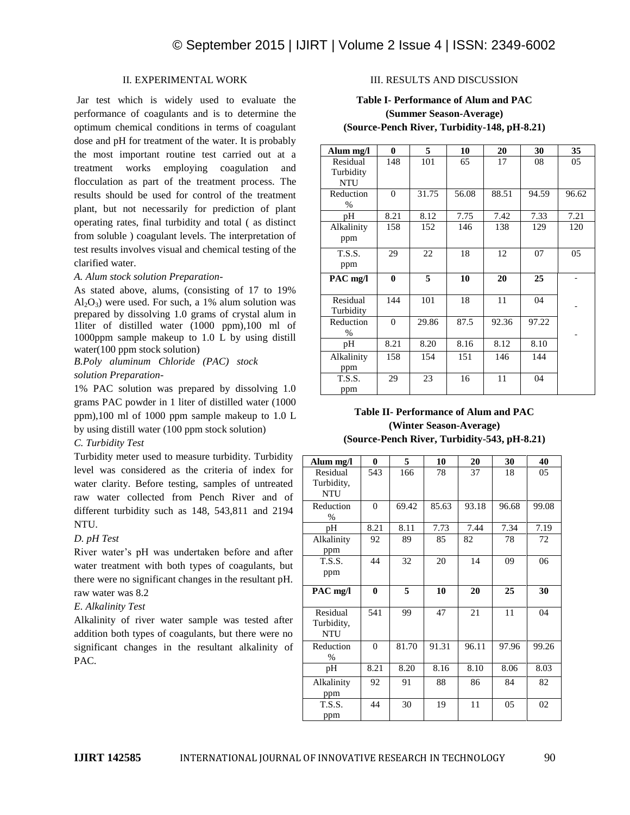#### II*.* EXPERIMENTAL WORK

Jar test which is widely used to evaluate the performance of coagulants and is to determine the optimum chemical conditions in terms of coagulant dose and pH for treatment of the water. It is probably the most important routine test carried out at a treatment works employing coagulation and flocculation as part of the treatment process. The results should be used for control of the treatment plant, but not necessarily for prediction of plant operating rates, final turbidity and total ( as distinct from soluble ) coagulant levels. The interpretation of test results involves visual and chemical testing of the clarified water.

*A. Alum stock solution Preparation-*

As stated above, alums, (consisting of 17 to 19%  $Al_2O_3$ ) were used. For such, a 1% alum solution was prepared by dissolving 1.0 grams of crystal alum in 1liter of distilled water (1000 ppm),100 ml of 1000ppm sample makeup to 1.0 L by using distill water(100 ppm stock solution)

*B.Poly aluminum Chloride (PAC) stock solution Preparation-*

1% PAC solution was prepared by dissolving 1.0 grams PAC powder in 1 liter of distilled water (1000 ppm),100 ml of 1000 ppm sample makeup to 1.0 L by using distill water (100 ppm stock solution)

#### *C. Turbidity Test*

Turbidity meter used to measure turbidity. Turbidity level was considered as the criteria of index for water clarity. Before testing, samples of untreated raw water collected from Pench River and of different turbidity such as 148, 543,811 and 2194 NTU.

#### *D. pH Test*

River water's pH was undertaken before and after water treatment with both types of coagulants, but there were no significant changes in the resultant pH. raw water was 8.2

# *E. Alkalinity Test*

Alkalinity of river water sample was tested after addition both types of coagulants, but there were no significant changes in the resultant alkalinity of PAC.

## III. RESULTS AND DISCUSSION

# **Table I- Performance of Alum and PAC (Summer Season-Average) (Source-Pench River, Turbidity-148, pH-8.21)**

| Alum mg/l     | 0        | 5     | 10    | 20    | 30    | 35    |
|---------------|----------|-------|-------|-------|-------|-------|
| Residual      | 148      | 101   | 65    | 17    | 08    | 05    |
| Turbidity     |          |       |       |       |       |       |
| <b>NTU</b>    |          |       |       |       |       |       |
| Reduction     | $\Omega$ | 31.75 | 56.08 | 88.51 | 94.59 | 96.62 |
| $\%$          |          |       |       |       |       |       |
| pН            | 8.21     | 8.12  | 7.75  | 7.42  | 7.33  | 7.21  |
| Alkalinity    | 158      | 152   | 146   | 138   | 129   | 120   |
| ppm           |          |       |       |       |       |       |
| <b>T.S.S.</b> | 29       | 22    | 18    | 12    | 07    | 05    |
| ppm           |          |       |       |       |       |       |
| PAC mg/l      | $\bf{0}$ | 5     | 10    | 20    | 25    |       |
|               |          |       |       |       |       |       |
| Residual      | 144      | 101   | 18    | 11    | 04    |       |
| Turbidity     |          |       |       |       |       |       |
| Reduction     | $\Omega$ | 29.86 | 87.5  | 92.36 | 97.22 |       |
| $\%$          |          |       |       |       |       |       |
| pН            | 8.21     | 8.20  | 8.16  | 8.12  | 8.10  |       |
| Alkalinity    | 158      | 154   | 151   | 146   | 144   |       |
| ppm           |          |       |       |       |       |       |
| <b>T.S.S.</b> | 29       | 23    | 16    | 11    | 04    |       |
| ppm           |          |       |       |       |       |       |

# **Table II- Performance of Alum and PAC (Winter Season-Average) (Source-Pench River, Turbidity-543, pH-8.21)**

| Alum mg/l                            | 0              | 5     | 10    | 20    | 30    | 40    |
|--------------------------------------|----------------|-------|-------|-------|-------|-------|
| Residual<br>Turbidity,<br><b>NTU</b> | 543            | 166   | 78    | 37    | 18    | 05    |
| Reduction<br>$\frac{0}{0}$           | $\overline{0}$ | 69.42 | 85.63 | 93.18 | 96.68 | 99.08 |
| рH                                   | 8.21           | 8.11  | 7.73  | 7.44  | 7.34  | 7.19  |
| Alkalinity<br>ppm                    | 92             | 89    | 85    | 82    | 78    | 72    |
| T.S.S.<br>ppm                        | 44             | 32    | 20    | 14    | 09    | 06    |
| PAC mg/l                             | $\bf{0}$       | 5     | 10    | 20    | 25    | 30    |
| Residual<br>Turbidity,<br><b>NTU</b> | 541            | 99    | 47    | 21    | 11    | 04    |
| Reduction<br>$\frac{0}{0}$           | $\mathbf{0}$   | 81.70 | 91.31 | 96.11 | 97.96 | 99.26 |
| pH                                   | 8.21           | 8.20  | 8.16  | 8.10  | 8.06  | 8.03  |
| Alkalinity<br>ppm                    | 92             | 91    | 88    | 86    | 84    | 82    |
| <b>T.S.S.</b><br>ppm                 | 44             | 30    | 19    | 11    | 05    | 02    |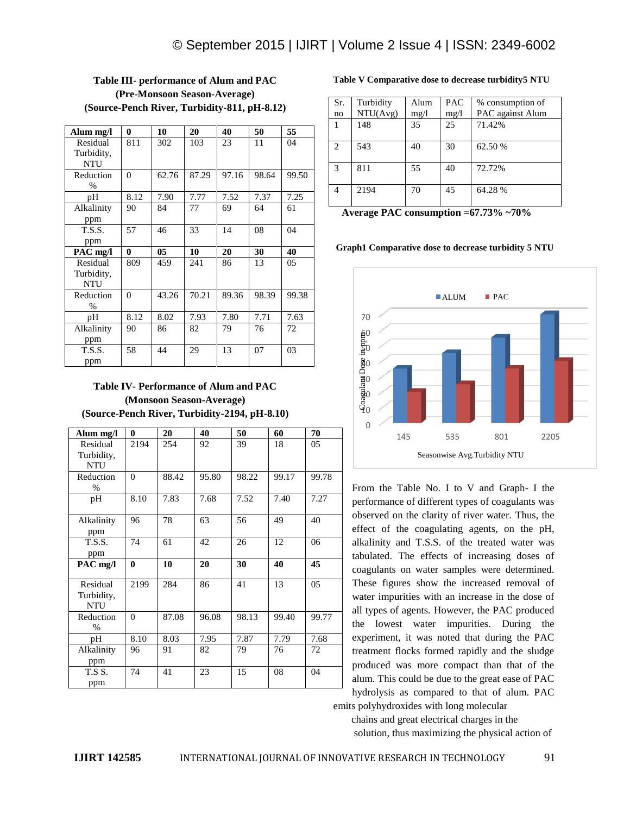| Alum mg/l     | 0            | 10             | 20    | 40    | 50    | 55    |
|---------------|--------------|----------------|-------|-------|-------|-------|
| Residual      | 811          | 302            | 103   | 23    | 11    | 04    |
| Turbidity,    |              |                |       |       |       |       |
| <b>NTU</b>    |              |                |       |       |       |       |
| Reduction     | $\Omega$     | 62.76          | 87.29 | 97.16 | 98.64 | 99.50 |
| $\frac{0}{0}$ |              |                |       |       |       |       |
| pН            | 8.12         | 7.90           | 7.77  | 7.52  | 7.37  | 7.25  |
| Alkalinity    | 90           | 84             | 77    | 69    | 64    | 61    |
| ppm           |              |                |       |       |       |       |
| <b>T.S.S.</b> | 57           | 46             | 33    | 14    | 08    | 04    |
| ppm           |              |                |       |       |       |       |
| PAC mg/l      | $\mathbf{0}$ | 0 <sub>5</sub> | 10    | 20    | 30    | 40    |
| Residual      | 809          | 459            | 241   | 86    | 13    | 05    |
| Turbidity,    |              |                |       |       |       |       |
| <b>NTU</b>    |              |                |       |       |       |       |
| Reduction     | $\Omega$     | 43.26          | 70.21 | 89.36 | 98.39 | 99.38 |
| $\frac{0}{0}$ |              |                |       |       |       |       |
| pН            | 8.12         | 8.02           | 7.93  | 7.80  | 7.71  | 7.63  |
| Alkalinity    | 90           | 86             | 82    | 79    | 76    | 72    |
| ppm           |              |                |       |       |       |       |
| <b>T.S.S.</b> | 58           | 44             | 29    | 13    | 07    | 03    |
| ppm           |              |                |       |       |       |       |

# **Table III- performance of Alum and PAC (Pre-Monsoon Season-Average) (Source-Pench River, Turbidity-811, pH-8.12)**

## **Table IV- Performance of Alum and PAC (Monsoon Season-Average) (Source-Pench River, Turbidity-2194, pH-8.10)**

| Alum mg/l                | $\bf{0}$       | 20    | 40    | 50    | 60    | 70    |
|--------------------------|----------------|-------|-------|-------|-------|-------|
| Residual                 | 2194           | 254   | 92    | 39    | 18    | 05    |
| Turbidity,               |                |       |       |       |       |       |
| <b>NTU</b>               |                |       |       |       |       |       |
| Reduction                | $\Omega$       | 88.42 | 95.80 | 98.22 | 99.17 | 99.78 |
| $\frac{0}{0}$            |                |       |       |       |       |       |
| pH                       | 8.10           | 7.83  | 7.68  | 7.52  | 7.40  | 7.27  |
|                          |                |       |       |       |       |       |
| Alkalinity               | 96             | 78    | 63    | 56    | 49    | 40    |
| ppm                      |                |       |       |       |       |       |
| <b>T.S.S.</b>            | 74             | 61    | 42    | 26    | 12    | 06    |
| ppm                      |                |       |       |       |       |       |
| $PAC$ mg/l               | $\bf{0}$       | 10    | 20    | 30    | 40    | 45    |
|                          |                |       |       |       |       |       |
| Residual                 | 2199           | 284   | 86    | 41    | 13    | 05    |
|                          |                |       |       |       |       |       |
|                          |                |       |       |       |       |       |
| Turbidity,<br><b>NTU</b> |                |       |       |       |       |       |
| Reduction                | $\overline{0}$ | 87.08 | 96.08 | 98.13 | 99.40 | 99.77 |
| %                        |                |       |       |       |       |       |
| pH                       | 8.10           | 8.03  | 7.95  | 7.87  | 7.79  | 7.68  |
| Alkalinity               | 96             | 91    | 82    | 79    | 76    | 72    |
| ppm                      |                |       |       |       |       |       |
| T.S.S.                   | 74             | 41    | 23    | 15    | 08    | 04    |
| ppm                      |                |       |       |       |       |       |

#### **Table V Comparative dose to decrease turbidity5 NTU**

| Sr.           | Turbidity | Alum | PAC  | % consumption of |
|---------------|-----------|------|------|------------------|
| no            | NTU(Avg)  | mg/1 | mg/1 | PAC against Alum |
|               | 148       | 35   | 25   | 71.42%           |
|               |           |      |      |                  |
| $\mathcal{L}$ | 543       | 40   | 30   | 62.50 %          |
|               |           |      |      |                  |
| 3             | 811       | 55   | 40   | 72.72%           |
|               |           |      |      |                  |
| 4             | 2194      | 70   | 45   | 64.28 %          |
|               |           |      |      |                  |

**Average PAC consumption =67.73% ~70%** 

**Graph1 Comparative dose to decrease turbidity 5 NTU**



From the Table No. I to V and Graph- I the performance of different types of coagulants was observed on the clarity of river water. Thus, the effect of the coagulating agents, on the pH, alkalinity and T.S.S. of the treated water was tabulated. The effects of increasing doses of coagulants on water samples were determined. These figures show the increased removal of water impurities with an increase in the dose of all types of agents. However, the PAC produced the lowest water impurities. During the experiment, it was noted that during the PAC treatment flocks formed rapidly and the sludge produced was more compact than that of the alum. This could be due to the great ease of PAC hydrolysis as compared to that of alum. PAC emits polyhydroxides with long molecular

 chains and great electrical charges in the solution, thus maximizing the physical action of